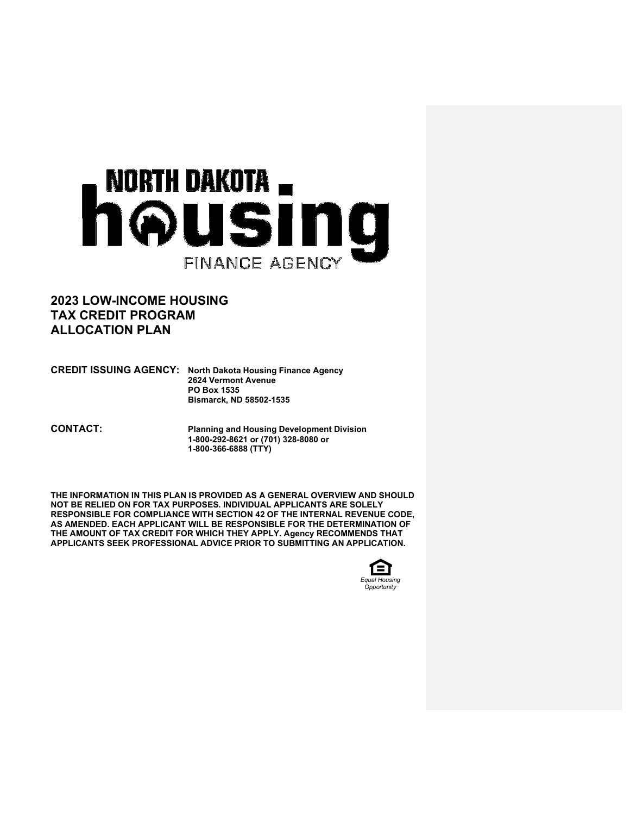# NORTH DAKOTA  $_{\blacksquare}$ housing FINANCE AGENCY

# **2023 LOW-INCOME HOUSING TAX CREDIT PROGRAM ALLOCATION PLAN**

**CREDIT ISSUING AGENCY: North Dakota Housing Finance Agency 2624 Vermont Avenue PO Box 1535 Bismarck, ND 58502-1535** 

**CONTACT: Planning and Housing Development Division 1-800-292-8621 or (701) 328-8080 or 1-800-366-6888 (TTY)** 

**THE INFORMATION IN THIS PLAN IS PROVIDED AS A GENERAL OVERVIEW AND SHOULD NOT BE RELIED ON FOR TAX PURPOSES. INDIVIDUAL APPLICANTS ARE SOLELY RESPONSIBLE FOR COMPLIANCE WITH SECTION 42 OF THE INTERNAL REVENUE CODE, AS AMENDED. EACH APPLICANT WILL BE RESPONSIBLE FOR THE DETERMINATION OF THE AMOUNT OF TAX CREDIT FOR WHICH THEY APPLY. Agency RECOMMENDS THAT APPLICANTS SEEK PROFESSIONAL ADVICE PRIOR TO SUBMITTING AN APPLICATION.** 

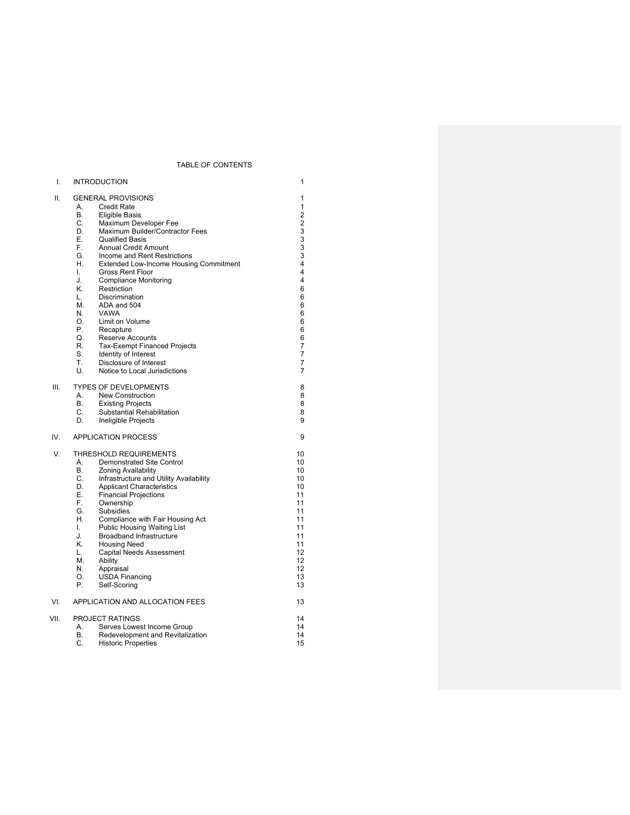# TABLE OF CONTENTS

| ۱.   | <b>INTRODUCTION</b>                                                                                                                                                                                                                                                                                                                                                                                                                                                                                                                                                                                                                                                                                           | 1                                                                                                                                                                       |
|------|---------------------------------------------------------------------------------------------------------------------------------------------------------------------------------------------------------------------------------------------------------------------------------------------------------------------------------------------------------------------------------------------------------------------------------------------------------------------------------------------------------------------------------------------------------------------------------------------------------------------------------------------------------------------------------------------------------------|-------------------------------------------------------------------------------------------------------------------------------------------------------------------------|
| ΙΙ.  | <b>GENERAL PROVISIONS</b><br>А.<br><b>Credit Rate</b><br>В.<br><b>Eligible Basis</b><br>C.<br>Maximum Developer Fee<br>D.<br>Maximum Builder/Contractor Fees<br>F.<br>Qualified Basis<br>F.<br><b>Annual Credit Amount</b><br>G.<br>Income and Rent Restrictions<br>Н.<br>Extended Low-Income Housing Commitment<br>L.<br><b>Gross Rent Floor</b><br>J.<br><b>Compliance Monitoring</b><br>Κ.<br>Restriction<br>L.<br>Discrimination<br>М.<br>ADA and 504<br>N.<br><b>VAWA</b><br>Ο.<br>Limit on Volume<br>Р.<br>Recapture<br>O.<br><b>Reserve Accounts</b><br>R.<br><b>Tax-Exempt Financed Projects</b><br>S.<br>Identity of Interest<br>Disclosure of Interest<br>Τ.<br>U.<br>Notice to Local Jurisdictions | 1<br>1<br>2<br>$\overline{\mathbf{c}}$<br>3<br>$\overline{3}$<br>$\overline{3}$<br>3<br>4<br>4<br>4<br>6<br>6<br>6<br>6<br>6<br>6<br>6<br>7<br>$\overline{7}$<br>7<br>7 |
| III. | <b>TYPES OF DEVELOPMENTS</b><br>New Construction<br>А.<br>В.<br><b>Existing Projects</b><br>C.<br>Substantial Rehabilitation<br>D.<br>Ineligible Projects                                                                                                                                                                                                                                                                                                                                                                                                                                                                                                                                                     | 8<br>8<br>8<br>8<br>9                                                                                                                                                   |
| IV.  | <b>APPLICATION PROCESS</b>                                                                                                                                                                                                                                                                                                                                                                                                                                                                                                                                                                                                                                                                                    | 9                                                                                                                                                                       |
| V.   | <b>THRESHOLD REQUIREMENTS</b><br>А.<br><b>Demonstrated Site Control</b><br>В.<br><b>Zoning Availability</b><br>C.<br>Infrastructure and Utility Availability<br>D.<br><b>Applicant Characteristics</b><br>Е.<br><b>Financial Projections</b><br>F.<br>Ownership<br>G.<br>Subsidies<br>Н.<br>Compliance with Fair Housing Act<br>Public Housing Waiting List<br>I.<br><b>Broadband Infrastructure</b><br>J.<br>ĸ<br><b>Housing Need</b><br><b>Capital Needs Assessment</b><br>L.<br>М.<br>Ability<br>N.<br>Appraisal<br>Ο.<br><b>USDA Financing</b><br>Р.<br>Self-Scoring                                                                                                                                      | 10<br>10<br>10<br>10<br>10<br>11<br>11<br>11<br>11<br>11<br>11<br>11<br>12<br>12<br>12<br>13<br>13                                                                      |
| VI.  | APPLICATION AND ALLOCATION FEES                                                                                                                                                                                                                                                                                                                                                                                                                                                                                                                                                                                                                                                                               | 13                                                                                                                                                                      |
| VII. | <b>PROJECT RATINGS</b><br>А.<br>Serves Lowest Income Group<br>В.<br>Redevelopment and Revitalization<br>C.<br><b>Historic Properties</b>                                                                                                                                                                                                                                                                                                                                                                                                                                                                                                                                                                      | 14<br>14<br>14<br>15                                                                                                                                                    |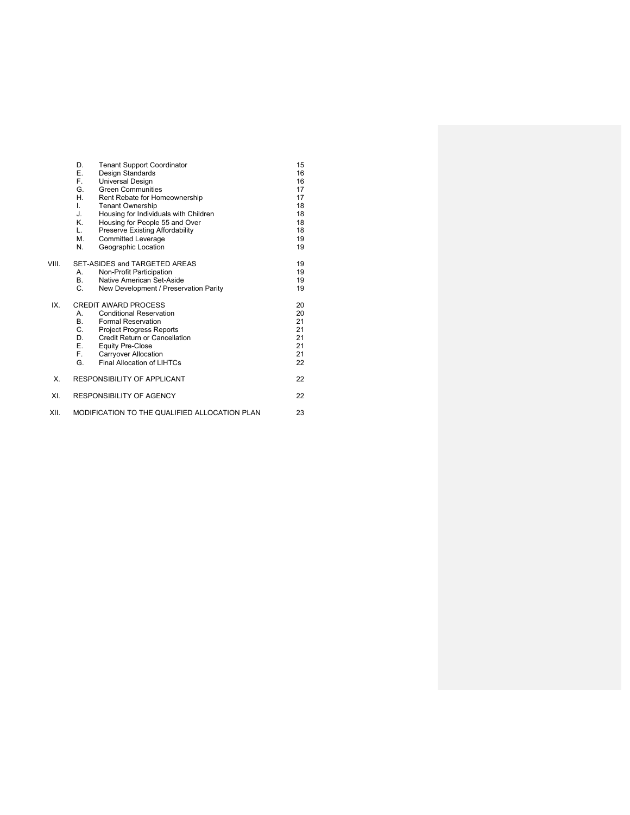|       | D.<br><b>Tenant Support Coordinator</b><br>Е.<br>Design Standards<br>F.<br>Universal Design<br>G.<br><b>Green Communities</b><br>Η.<br>Rent Rebate for Homeownership<br>L.<br><b>Tenant Ownership</b><br>J.<br>Housing for Individuals with Children<br>Κ.<br>Housing for People 55 and Over<br>L.<br>Preserve Existing Affordability | 15<br>16<br>16<br>17<br>17<br>18<br>18<br>18<br>18 |
|-------|---------------------------------------------------------------------------------------------------------------------------------------------------------------------------------------------------------------------------------------------------------------------------------------------------------------------------------------|----------------------------------------------------|
|       | М.<br><b>Committed Leverage</b><br>N.<br>Geographic Location                                                                                                                                                                                                                                                                          | 19<br>19                                           |
| VIII. | SET-ASIDES and TARGETED AREAS<br>Non-Profit Participation<br>А.<br><b>B</b> .<br>Native American Set-Aside<br>C.<br>New Development / Preservation Parity                                                                                                                                                                             | 19<br>19<br>19<br>19                               |
| IX.   | <b>CREDIT AWARD PROCESS</b><br><b>Conditional Reservation</b><br>А.<br><b>B</b> .<br><b>Formal Reservation</b><br>С.<br><b>Project Progress Reports</b><br>Credit Return or Cancellation<br>D.<br>Е.<br><b>Equity Pre-Close</b><br>F.<br><b>Carryover Allocation</b><br>G.<br>Final Allocation of LIHTCs                              | 20<br>20<br>21<br>21<br>21<br>21<br>21<br>22       |
| Χ.    | RESPONSIBILITY OF APPLICANT                                                                                                                                                                                                                                                                                                           | 22                                                 |
| XI.   | RESPONSIBILITY OF AGENCY                                                                                                                                                                                                                                                                                                              | 22                                                 |
| XII.  | MODIFICATION TO THE QUALIFIED ALLOCATION PLAN                                                                                                                                                                                                                                                                                         | 23                                                 |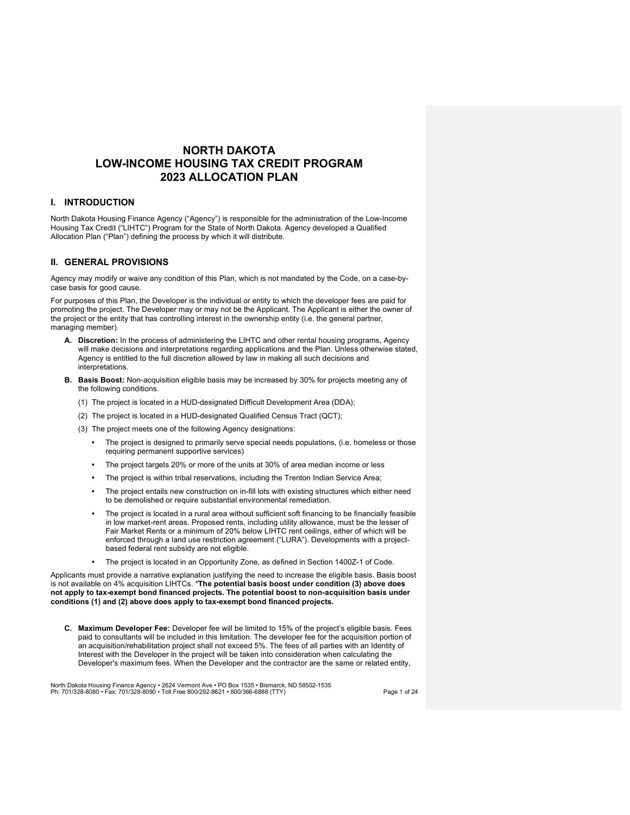# **NORTH DAKOTA LOW-INCOME HOUSING TAX CREDIT PROGRAM 2023 ALLOCATION PLAN**

# **I. INTRODUCTION**

North Dakota Housing Finance Agency ("Agency") is responsible for the administration of the Low-Income Housing Tax Credit ("LIHTC") Program for the State of North Dakota. Agency developed a Qualified Allocation Plan ("Plan") defining the process by which it will distribute.

# **II. GENERAL PROVISIONS**

Agency may modify or waive any condition of this Plan, which is not mandated by the Code, on a case-bycase basis for good cause.

For purposes of this Plan, the Developer is the individual or entity to which the developer fees are paid for promoting the project. The Developer may or may not be the Applicant. The Applicant is either the owner of the project or the entity that has controlling interest in the ownership entity (i.e. the general partner, managing member).

- **A. Discretion:** In the process of administering the LIHTC and other rental housing programs, Agency will make decisions and interpretations regarding applications and the Plan. Unless otherwise stated, Agency is entitled to the full discretion allowed by law in making all such decisions and interpretations.
- **B. Basis Boost:** Non-acquisition eligible basis may be increased by 30% for projects meeting any of the following conditions.
	- (1) The project is located in a HUD-designated Difficult Development Area (DDA);
	- (2) The project is located in a HUD-designated Qualified Census Tract (QCT);
	- (3) The project meets one of the following Agency designations:
		- The project is designed to primarily serve special needs populations, (i.e. homeless or those requiring permanent supportive services)
		- The project targets 20% or more of the units at 30% of area median income or less
		- The project is within tribal reservations, including the Trenton Indian Service Area;
		- The project entails new construction on in-fill lots with existing structures which either need to be demolished or require substantial environmental remediation.
		- The project is located in a rural area without sufficient soft financing to be financially feasible in low market-rent areas. Proposed rents, including utility allowance, must be the lesser of Fair Market Rents or a minimum of 20% below LIHTC rent ceilings, either of which will be enforced through a land use restriction agreement ("LURA"). Developments with a projectbased federal rent subsidy are not eligible.
		- The project is located in an Opportunity Zone, as defined in Section 1400Z-1 of Code.

Applicants must provide a narrative explanation justifying the need to increase the eligible basis. Basis boost is not available on 4% acquisition LIHTCs. \***The potential basis boost under condition (3) above does not apply to tax-exempt bond financed projects. The potential boost to non-acquisition basis under conditions (1) and (2) above does apply to tax-exempt bond financed projects.**

**C. Maximum Developer Fee:** Developer fee will be limited to 15% of the project's eligible basis. Fees paid to consultants will be included in this limitation. The developer fee for the acquisition portion of an acquisition/rehabilitation project shall not exceed 5%. The fees of all parties with an Identity of Interest with the Developer in the project will be taken into consideration when calculating the Developer's maximum fees. When the Developer and the contractor are the same or related entity,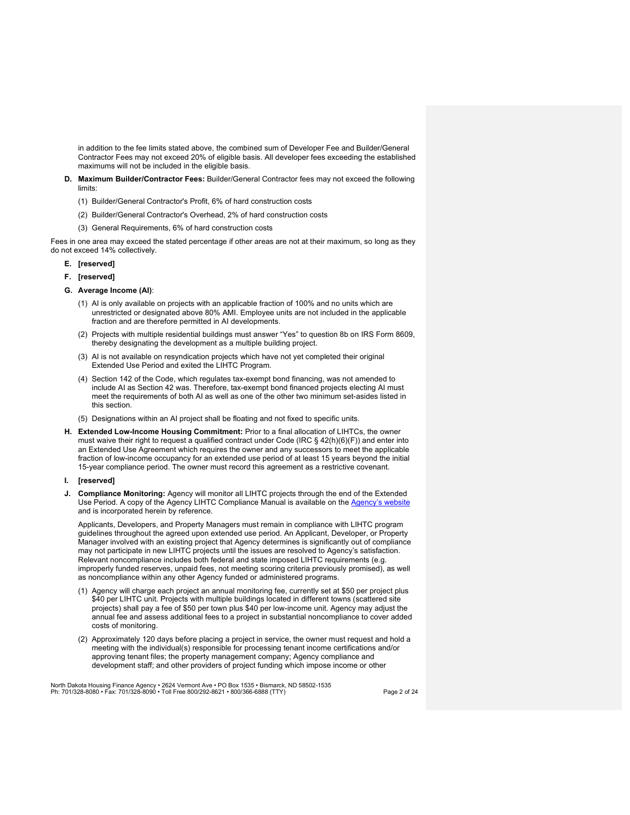in addition to the fee limits stated above, the combined sum of Developer Fee and Builder/General Contractor Fees may not exceed 20% of eligible basis. All developer fees exceeding the established maximums will not be included in the eligible basis.

- **D. Maximum Builder/Contractor Fees:** Builder/General Contractor fees may not exceed the following limits:
	- (1) Builder/General Contractor's Profit, 6% of hard construction costs
	- (2) Builder/General Contractor's Overhead, 2% of hard construction costs
	- (3) General Requirements, 6% of hard construction costs

Fees in one area may exceed the stated percentage if other areas are not at their maximum, so long as they do not exceed 14% collectively.

## **E. [reserved]**

- **F. [reserved]**
- **G. Average Income (AI)**:
	- (1) AI is only available on projects with an applicable fraction of 100% and no units which are unrestricted or designated above 80% AMI. Employee units are not included in the applicable fraction and are therefore permitted in AI developments.
	- (2) Projects with multiple residential buildings must answer "Yes" to question 8b on IRS Form 8609, thereby designating the development as a multiple building project.
	- (3) AI is not available on resyndication projects which have not yet completed their original Extended Use Period and exited the LIHTC Program.
	- (4) Section 142 of the Code, which regulates tax-exempt bond financing, was not amended to include AI as Section 42 was. Therefore, tax-exempt bond financed projects electing AI must meet the requirements of both AI as well as one of the other two minimum set-asides listed in this section.
	- (5) Designations within an AI project shall be floating and not fixed to specific units.
- **H. Extended Low-Income Housing Commitment:** Prior to a final allocation of LIHTCs, the owner must waive their right to request a qualified contract under Code (IRC § 42(h)(6)(F)) and enter into an Extended Use Agreement which requires the owner and any successors to meet the applicable fraction of low-income occupancy for an extended use period of at least 15 years beyond the initial 15-year compliance period. The owner must record this agreement as a restrictive covenant.
- **I. [reserved]**
- **J. Compliance Monitoring:** Agency will monitor all LIHTC projects through the end of the Extended Use Period. A copy of the Agency LIHTC Compliance Manual is available on the Agency's website and is incorporated herein by reference.

Applicants, Developers, and Property Managers must remain in compliance with LIHTC program guidelines throughout the agreed upon extended use period. An Applicant, Developer, or Property Manager involved with an existing project that Agency determines is significantly out of compliance may not participate in new LIHTC projects until the issues are resolved to Agency's satisfaction. Relevant noncompliance includes both federal and state imposed LIHTC requirements (e.g. improperly funded reserves, unpaid fees, not meeting scoring criteria previously promised), as well as noncompliance within any other Agency funded or administered programs.

- (1) Agency will charge each project an annual monitoring fee, currently set at \$50 per project plus \$40 per LIHTC unit. Projects with multiple buildings located in different towns (scattered site projects) shall pay a fee of \$50 per town plus \$40 per low-income unit. Agency may adjust the annual fee and assess additional fees to a project in substantial noncompliance to cover added costs of monitoring.
- (2) Approximately 120 days before placing a project in service, the owner must request and hold a meeting with the individual(s) responsible for processing tenant income certifications and/or approving tenant files; the property management company; Agency compliance and development staff; and other providers of project funding which impose income or other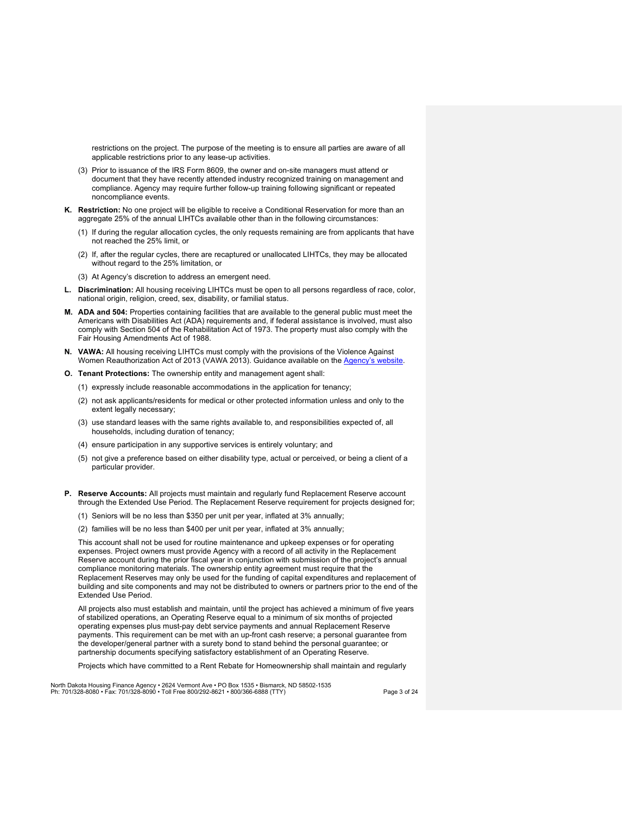restrictions on the project. The purpose of the meeting is to ensure all parties are aware of all applicable restrictions prior to any lease-up activities.

- (3) Prior to issuance of the IRS Form 8609, the owner and on-site managers must attend or document that they have recently attended industry recognized training on management and compliance. Agency may require further follow-up training following significant or repeated noncompliance events.
- **K. Restriction:** No one project will be eligible to receive a Conditional Reservation for more than an aggregate 25% of the annual LIHTCs available other than in the following circumstances:
	- (1) If during the regular allocation cycles, the only requests remaining are from applicants that have not reached the 25% limit, or
	- (2) If, after the regular cycles, there are recaptured or unallocated LIHTCs, they may be allocated without regard to the 25% limitation, or
	- (3) At Agency's discretion to address an emergent need.
- **L. Discrimination:** All housing receiving LIHTCs must be open to all persons regardless of race, color, national origin, religion, creed, sex, disability, or familial status.
- **M. ADA and 504:** Properties containing facilities that are available to the general public must meet the Americans with Disabilities Act (ADA) requirements and, if federal assistance is involved, must also comply with Section 504 of the Rehabilitation Act of 1973. The property must also comply with the Fair Housing Amendments Act of 1988.
- **N. VAWA:** All housing receiving LIHTCs must comply with the provisions of the Violence Against Women Reauthorization Act of 2013 (VAWA 2013). Guidance available on the Agency's website.
- **O. Tenant Protections:** The ownership entity and management agent shall:
	- (1) expressly include reasonable accommodations in the application for tenancy;
	- (2) not ask applicants/residents for medical or other protected information unless and only to the extent legally necessary;
	- (3) use standard leases with the same rights available to, and responsibilities expected of, all households, including duration of tenancy;
	- (4) ensure participation in any supportive services is entirely voluntary; and
	- (5) not give a preference based on either disability type, actual or perceived, or being a client of a particular provider.
- **P. Reserve Accounts:** All projects must maintain and regularly fund Replacement Reserve account through the Extended Use Period. The Replacement Reserve requirement for projects designed for;
	- (1) Seniors will be no less than \$350 per unit per year, inflated at 3% annually;
	- (2) families will be no less than \$400 per unit per year, inflated at 3% annually;

This account shall not be used for routine maintenance and upkeep expenses or for operating expenses. Project owners must provide Agency with a record of all activity in the Replacement Reserve account during the prior fiscal year in conjunction with submission of the project's annual compliance monitoring materials. The ownership entity agreement must require that the Replacement Reserves may only be used for the funding of capital expenditures and replacement of building and site components and may not be distributed to owners or partners prior to the end of the Extended Use Period.

All projects also must establish and maintain, until the project has achieved a minimum of five years of stabilized operations, an Operating Reserve equal to a minimum of six months of projected operating expenses plus must-pay debt service payments and annual Replacement Reserve payments. This requirement can be met with an up-front cash reserve; a personal guarantee from the developer/general partner with a surety bond to stand behind the personal guarantee; or partnership documents specifying satisfactory establishment of an Operating Reserve.

Projects which have committed to a Rent Rebate for Homeownership shall maintain and regularly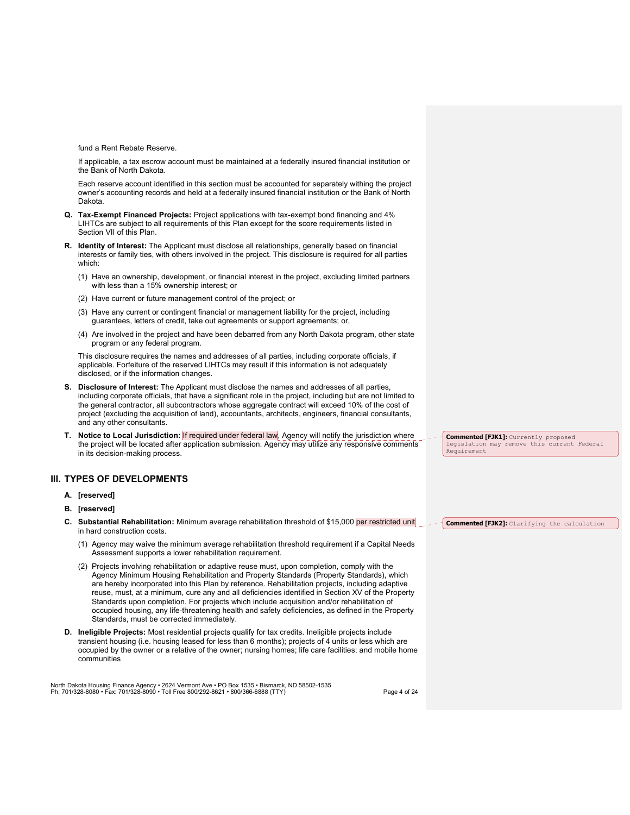fund a Rent Rebate Reserve.

If applicable, a tax escrow account must be maintained at a federally insured financial institution or the Bank of North Dakota.

Each reserve account identified in this section must be accounted for separately withing the project owner's accounting records and held at a federally insured financial institution or the Bank of North Dakota.

- **Q. Tax-Exempt Financed Projects:** Project applications with tax-exempt bond financing and 4% LIHTCs are subject to all requirements of this Plan except for the score requirements listed in Section VII of this Plan.
- **R. Identity of Interest:** The Applicant must disclose all relationships, generally based on financial interests or family ties, with others involved in the project. This disclosure is required for all parties which:
	- (1) Have an ownership, development, or financial interest in the project, excluding limited partners with less than a 15% ownership interest; or
	- (2) Have current or future management control of the project; or
	- (3) Have any current or contingent financial or management liability for the project, including guarantees, letters of credit, take out agreements or support agreements; or,
	- (4) Are involved in the project and have been debarred from any North Dakota program, other state program or any federal program.

This disclosure requires the names and addresses of all parties, including corporate officials, if applicable. Forfeiture of the reserved LIHTCs may result if this information is not adequately disclosed, or if the information changes.

- **S. Disclosure of Interest:** The Applicant must disclose the names and addresses of all parties, including corporate officials, that have a significant role in the project, including but are not limited to the general contractor, all subcontractors whose aggregate contract will exceed 10% of the cost of project (excluding the acquisition of land), accountants, architects, engineers, financial consultants, and any other consultants.
- **T.** Notice to Local Jurisdiction: If required under federal law, Agency will notify the jurisdiction where the project will be located after application submission. Agency may utilize any responsive comments in its decision-making process.

# **III. TYPES OF DEVELOPMENTS**

- **A. [reserved]**
- **B. [reserved]**
- **C. Substantial Rehabilitation:** Minimum average rehabilitation threshold of \$15,000 per restricted unit in hard construction costs.
	- (1) Agency may waive the minimum average rehabilitation threshold requirement if a Capital Needs Assessment supports a lower rehabilitation requirement.
	- (2) Projects involving rehabilitation or adaptive reuse must, upon completion, comply with the Agency Minimum Housing Rehabilitation and Property Standards (Property Standards), which are hereby incorporated into this Plan by reference. Rehabilitation projects, including adaptive reuse, must, at a minimum, cure any and all deficiencies identified in Section XV of the Property Standards upon completion. For projects which include acquisition and/or rehabilitation of occupied housing, any life-threatening health and safety deficiencies, as defined in the Property Standards, must be corrected immediately.
- **D. Ineligible Projects:** Most residential projects qualify for tax credits. Ineligible projects include transient housing (i.e. housing leased for less than 6 months); projects of 4 units or less which are occupied by the owner or a relative of the owner; nursing homes; life care facilities; and mobile home communities

North Dakota Housing Finance Agency • 2624 Vermont Ave • PO Box 1535 • Bismarck, ND 58502-1535<br>Ph: 701/328-8080 • Fax: 701/328-8090 • Toll Free 800/292-8621 • 800/366-6888 (TTY)

**Commented [FJK1]:** Currently proposed legislation may remove this current Federal Requirement

**Commented [FJK2]:** Clarifying the calculation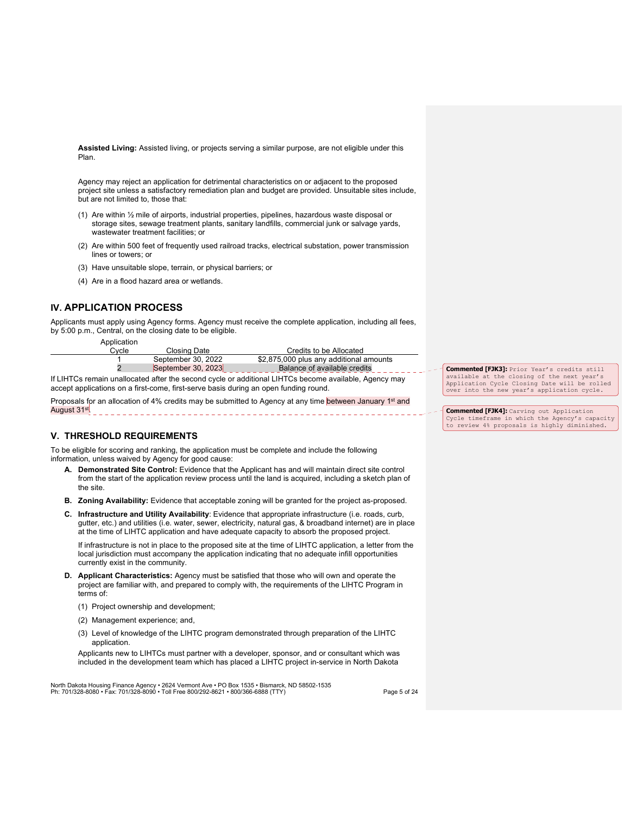**Assisted Living:** Assisted living, or projects serving a similar purpose, are not eligible under this Plan.

Agency may reject an application for detrimental characteristics on or adjacent to the proposed project site unless a satisfactory remediation plan and budget are provided. Unsuitable sites include, but are not limited to, those that:

- (1) Are within ½ mile of airports, industrial properties, pipelines, hazardous waste disposal or storage sites, sewage treatment plants, sanitary landfills, commercial junk or salvage yards, wastewater treatment facilities; or
- (2) Are within 500 feet of frequently used railroad tracks, electrical substation, power transmission lines or towers; or
- (3) Have unsuitable slope, terrain, or physical barriers; or
- (4) Are in a flood hazard area or wetlands.

# **IV. APPLICATION PROCESS**

Applicants must apply using Agency forms. Agency must receive the complete application, including all fees, by 5:00 p.m., Central, on the closing date to be eligible.

Application

| vcle | Closina Date       | Credits to be Allocated                 |         |
|------|--------------------|-----------------------------------------|---------|
|      | September 30, 2022 | \$2,875,000 plus any additional amounts |         |
|      | September 30, 2023 | Balance of available credits            | Comment |

If LIHTCs remain unallocated after the second cycle or additional LIHTCs become available, Agency may accept applications on a first-come, first-serve basis during an open funding round.

Proposals for an allocation of 4% credits may be submitted to Agency at any time between January 1st and August 31<sup>st</sup>.

# **V. THRESHOLD REQUIREMENTS**

To be eligible for scoring and ranking, the application must be complete and include the following information, unless waived by Agency for good cause:

- **A. Demonstrated Site Control:** Evidence that the Applicant has and will maintain direct site control from the start of the application review process until the land is acquired, including a sketch plan of the site.
- **B. Zoning Availability:** Evidence that acceptable zoning will be granted for the project as-proposed.
- **C. Infrastructure and Utility Availability**: Evidence that appropriate infrastructure (i.e. roads, curb, gutter, etc.) and utilities (i.e. water, sewer, electricity, natural gas, & broadband internet) are in place at the time of LIHTC application and have adequate capacity to absorb the proposed project.

If infrastructure is not in place to the proposed site at the time of LIHTC application, a letter from the local jurisdiction must accompany the application indicating that no adequate infill opportunities currently exist in the community.

- **D. Applicant Characteristics:** Agency must be satisfied that those who will own and operate the project are familiar with, and prepared to comply with, the requirements of the LIHTC Program in terms of:
	- (1) Project ownership and development;
	- (2) Management experience; and,
	- (3) Level of knowledge of the LIHTC program demonstrated through preparation of the LIHTC application.

Applicants new to LIHTCs must partner with a developer, sponsor, and or consultant which was included in the development team which has placed a LIHTC project in-service in North Dakota

North Dakota Housing Finance Agency • 2624 Vermont Ave • PO Box 1535 • Bismarck, ND 58502-1535<br>Ph: 701/328-8080 • Fax: 701/328-8090 • Toll Free 800/292-8621 • 800/366-6888 (TTY)

**Commented [FJK3]:** Prior Year's credits still available at the closing of the next year's Application Cycle Closing Date will be rolled over into the new year's application cycle.

**Commented [FJK4]:** Carving out Application Cycle timeframe in which the Agency's capacity to review 4% proposals is highly diminished.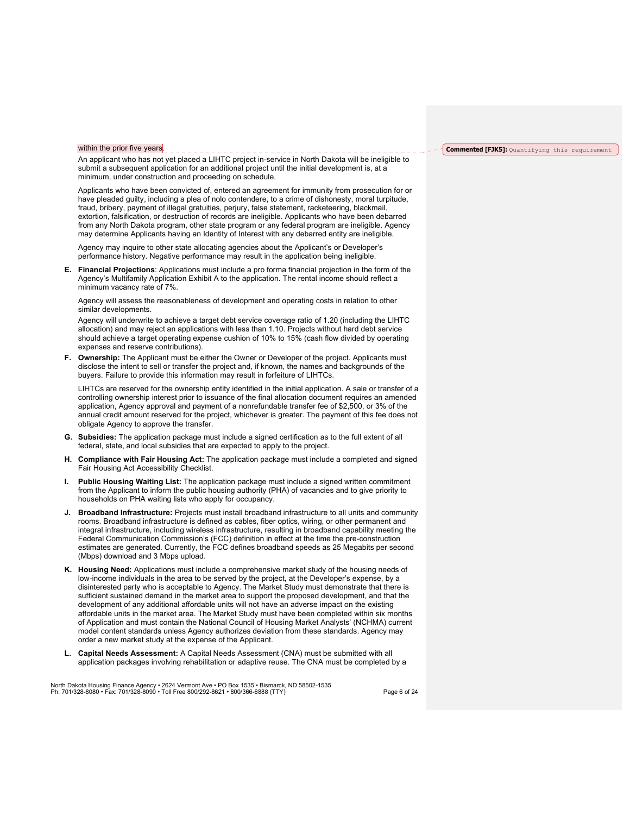#### within the prior five years.

An applicant who has not yet placed a LIHTC project in-service in North Dakota will be ineligible to submit a subsequent application for an additional project until the initial development is, at a minimum, under construction and proceeding on schedule.

Applicants who have been convicted of, entered an agreement for immunity from prosecution for or have pleaded guilty, including a plea of nolo contendere, to a crime of dishonesty, moral turpitude, fraud, bribery, payment of illegal gratuities, perjury, false statement, racketeering, blackmail, extortion, falsification, or destruction of records are ineligible. Applicants who have been debarred from any North Dakota program, other state program or any federal program are ineligible. Agency may determine Applicants having an Identity of Interest with any debarred entity are ineligible.

Agency may inquire to other state allocating agencies about the Applicant's or Developer's performance history. Negative performance may result in the application being ineligible.

**E. Financial Projections**: Applications must include a pro forma financial projection in the form of the Agency's Multifamily Application Exhibit A to the application. The rental income should reflect a minimum vacancy rate of 7%.

Agency will assess the reasonableness of development and operating costs in relation to other similar developments.

Agency will underwrite to achieve a target debt service coverage ratio of 1.20 (including the LIHTC allocation) and may reject an applications with less than 1.10. Projects without hard debt service should achieve a target operating expense cushion of 10% to 15% (cash flow divided by operating expenses and reserve contributions).

**F. Ownership:** The Applicant must be either the Owner or Developer of the project. Applicants must disclose the intent to sell or transfer the project and, if known, the names and backgrounds of the buyers. Failure to provide this information may result in forfeiture of LIHTCs.

LIHTCs are reserved for the ownership entity identified in the initial application. A sale or transfer of a controlling ownership interest prior to issuance of the final allocation document requires an amended application, Agency approval and payment of a nonrefundable transfer fee of \$2,500, or 3% of the annual credit amount reserved for the project, whichever is greater. The payment of this fee does not obligate Agency to approve the transfer.

- **G. Subsidies:** The application package must include a signed certification as to the full extent of all federal, state, and local subsidies that are expected to apply to the project.
- **H. Compliance with Fair Housing Act:** The application package must include a completed and signed Fair Housing Act Accessibility Checklist.
- **I. Public Housing Waiting List:** The application package must include a signed written commitment from the Applicant to inform the public housing authority (PHA) of vacancies and to give priority to households on PHA waiting lists who apply for occupancy.
- **J. Broadband Infrastructure:** Projects must install broadband infrastructure to all units and community rooms. Broadband infrastructure is defined as cables, fiber optics, wiring, or other permanent and integral infrastructure, including wireless infrastructure, resulting in broadband capability meeting the Federal Communication Commission's (FCC) definition in effect at the time the pre-construction estimates are generated. Currently, the FCC defines broadband speeds as 25 Megabits per second (Mbps) download and 3 Mbps upload.
- **K. Housing Need:** Applications must include a comprehensive market study of the housing needs of low-income individuals in the area to be served by the project, at the Developer's expense, by a disinterested party who is acceptable to Agency. The Market Study must demonstrate that there is sufficient sustained demand in the market area to support the proposed development, and that the development of any additional affordable units will not have an adverse impact on the existing affordable units in the market area. The Market Study must have been completed within six months of Application and must contain the National Council of Housing Market Analysts' (NCHMA) current model content standards unless Agency authorizes deviation from these standards. Agency may order a new market study at the expense of the Applicant.
- **L. Capital Needs Assessment:** A Capital Needs Assessment (CNA) must be submitted with all application packages involving rehabilitation or adaptive reuse. The CNA must be completed by a

North Dakota Housing Finance Agency • 2624 Vermont Ave • PO Box 1535 • Bismarck, ND 58502-1535<br>Ph: 701/328-8080 • Fax: 701/328-8090 • Toll Free 800/292-8621 • 800/366-6888 (TTY)

#### **Commented [FJK5]:** Quantifying this requirement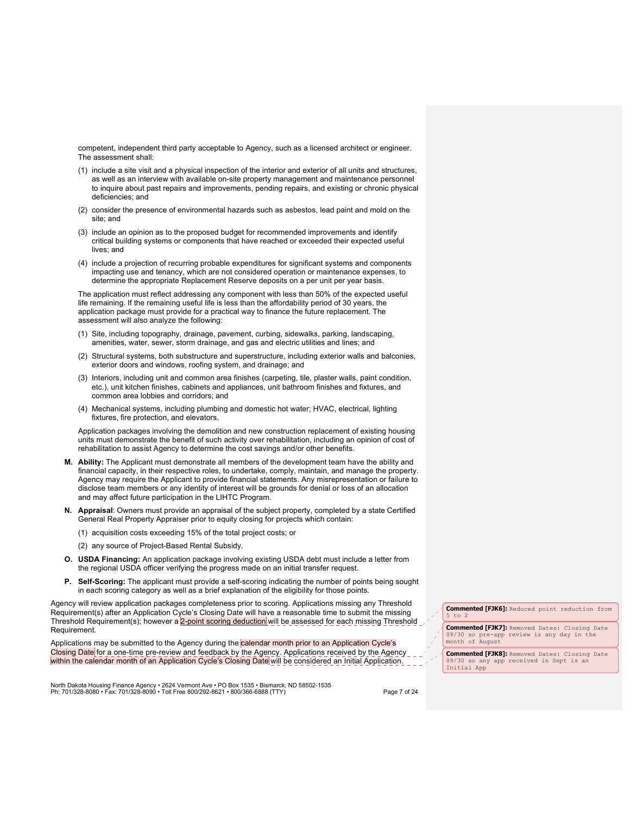competent, independent third party acceptable to Agency, such as a licensed architect or engineer. The assessment shall:

- (1) include a site visit and a physical inspection of the interior and exterior of all units and structures, as well as an interview with available on-site property management and maintenance personnel to inquire about past repairs and improvements, pending repairs, and existing or chronic physical deficiencies; and
- (2) consider the presence of environmental hazards such as asbestos, lead paint and mold on the site; and
- (3) include an opinion as to the proposed budget for recommended improvements and identify critical building systems or components that have reached or exceeded their expected useful lives; and
- (4) include a projection of recurring probable expenditures for significant systems and components impacting use and tenancy, which are not considered operation or maintenance expenses, to determine the appropriate Replacement Reserve deposits on a per unit per year basis.

The application must reflect addressing any component with less than 50% of the expected useful life remaining. If the remaining useful life is less than the affordability period of 30 years, the application package must provide for a practical way to finance the future replacement. The assessment will also analyze the following:

- (1) Site, including topography, drainage, pavement, curbing, sidewalks, parking, landscaping, amenities, water, sewer, storm drainage, and gas and electric utilities and lines; and
- (2) Structural systems, both substructure and superstructure, including exterior walls and balconies, exterior doors and windows, roofing system, and drainage; and
- (3) Interiors, including unit and common area finishes (carpeting, tile, plaster walls, paint condition, etc.), unit kitchen finishes, cabinets and appliances, unit bathroom finishes and fixtures, and common area lobbies and corridors; and
- (4) Mechanical systems, including plumbing and domestic hot water; HVAC, electrical, lighting fixtures, fire protection, and elevators.

Application packages involving the demolition and new construction replacement of existing housing units must demonstrate the benefit of such activity over rehabilitation, including an opinion of cost of rehabilitation to assist Agency to determine the cost savings and/or other benefits.

- **M. Ability:** The Applicant must demonstrate all members of the development team have the ability and financial capacity, in their respective roles, to undertake, comply, maintain, and manage the property. Agency may require the Applicant to provide financial statements. Any misrepresentation or failure to disclose team members or any identity of interest will be grounds for denial or loss of an allocation and may affect future participation in the LIHTC Program.
- **N. Appraisal**: Owners must provide an appraisal of the subject property, completed by a state Certified General Real Property Appraiser prior to equity closing for projects which contain:
	- (1) acquisition costs exceeding 15% of the total project costs; or
	- (2) any source of Project-Based Rental Subsidy.
- **O. USDA Financing:** An application package involving existing USDA debt must include a letter from the regional USDA officer verifying the progress made on an initial transfer request.
- **P. Self-Scoring:** The applicant must provide a self-scoring indicating the number of points being sought in each scoring category as well as a brief explanation of the eligibility for those points.

Agency will review application packages completeness prior to scoring. Applications missing any Threshold Requirement(s) after an Application Cycle's Closing Date will have a reasonable time to submit the missing Threshold Requirement(s); however a 2-point scoring deduction will be assessed for each missing Threshold Requirement.

Applications may be submitted to the Agency during the calendar month prior to an Application Cycle's Closing Date for a one-time pre-review and feedback by the Agency. Applications received by the Agency within the calendar month of an Application Cycle's Closing Date will be considered an Initial Application.

North Dakota Housing Finance Agency • 2624 Vermont Ave • PO Box 1535 • Bismarck, ND 58502-1535<br>Ph: 701/328-8080 • Fax: 701/328-8090 • Toll Free 800/292-8621 • 800/366-6888 (TTY)

**Commented [FJK6]:** Reduced point reduction from 5 to 2

**Commented [FJK7]:** Removed Dates: Closing Date 09/30 so pre-app review is any day in the month of August

**Commented [FJK8]:** Removed Dates: Closing Date 09/30 so any app received in Sept is an Initial App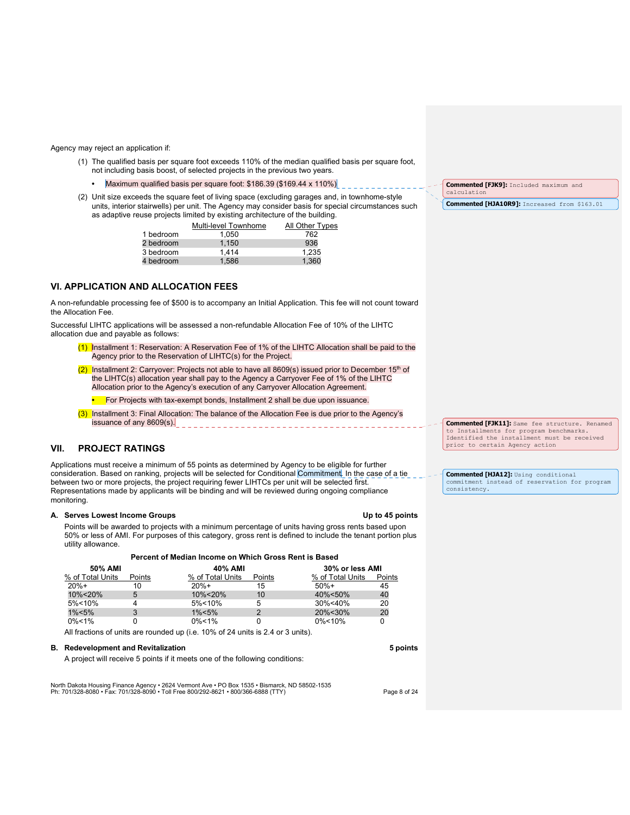#### Agency may reject an application if:

- (1) The qualified basis per square foot exceeds 110% of the median qualified basis per square foot, not including basis boost, of selected projects in the previous two years.
	- Maximum qualified basis per square foot: \$186.39 (\$169.44 x 110%)
- (2) Unit size exceeds the square feet of living space (excluding garages and, in townhome-style units, interior stairwells) per unit. The Agency may consider basis for special circumstances such as adaptive reuse projects limited by existing architecture of the building.

|           | Multi-level Townhome | All Other Types |
|-----------|----------------------|-----------------|
| 1 bedroom | 1.050                | 762             |
| 2 bedroom | 1.150                | 936             |
| 3 bedroom | 1.414                | 1,235           |
| 4 bedroom | 1,586                | 1,360           |

# **VI. APPLICATION AND ALLOCATION FEES**

A non-refundable processing fee of \$500 is to accompany an Initial Application. This fee will not count toward the Allocation Fee.

Successful LIHTC applications will be assessed a non-refundable Allocation Fee of 10% of the LIHTC allocation due and payable as follows:

- (1) Installment 1: Reservation: A Reservation Fee of 1% of the LIHTC Allocation shall be paid to the Agency prior to the Reservation of LIHTC(s) for the Project.
- (2) Installment 2: Carryover: Projects not able to have all 8609(s) issued prior to December 15<sup>th</sup> of the LIHTC(s) allocation year shall pay to the Agency a Carryover Fee of 1% of the LIHTC Allocation prior to the Agency's execution of any Carryover Allocation Agreement.
	- For Projects with tax-exempt bonds, Installment 2 shall be due upon issuance.
- (3) Installment 3: Final Allocation: The balance of the Allocation Fee is due prior to the Agency's issuance of any 8609(s).

# **VII. PROJECT RATINGS**

Applications must receive a minimum of 55 points as determined by Agency to be eligible for further consideration. Based on ranking, projects will be selected for Conditional Commitment. In the case of a tie between two or more projects, the project requiring fewer LIHTCs per unit will be selected first. Representations made by applicants will be binding and will be reviewed during ongoing compliance monitoring.

#### A. Serves Lowest Income Groups **Community Community Up to 45 points Up** to 45 points

Points will be awarded to projects with a minimum percentage of units having gross rents based upon 50% or less of AMI. For purposes of this category, gross rent is defined to include the tenant portion plus utility allowance.

| Percent of Median Income on Which Gross Rent is Based |        |                  |                 |                  |        |
|-------------------------------------------------------|--------|------------------|-----------------|------------------|--------|
| 50% AMI                                               |        | 40% AMI          | 30% or less AMI |                  |        |
| % of Total Units                                      | Points | % of Total Units | Points          | % of Total Units | Points |
| $20%+$                                                | 10     | $20%+$           | 15              | $50%+$           | 45     |
| 10%<20%                                               | 5      | 10%<20%          | 10              | 40%<50%          | 40     |
| $5\% < 10\%$                                          |        | $5\% < 10\%$     | 5               | 30%<40%          | 20     |
| $1\% < 5\%$                                           |        | $1\% < 5\%$      | າ               | 20%<30%          | 20     |
| $0\% < 1\%$                                           |        | $0\% < 1\%$      |                 | $0\% < 10\%$     |        |

All fractions of units are rounded up (i.e. 10% of 24 units is 2.4 or 3 units).

#### **B. Redevelopment and Revitalization 5 points**

A project will receive 5 points if it meets one of the following conditions:

North Dakota Housing Finance Agency • 2624 Vermont Ave • PO Box 1535 • Bismarck, ND 58502-1535<br>Ph: 701/328-8080 • Fax: 701/328-8090 • Toll Free 800/292-8621 • 800/366-6888 (TTY)

**Commented [FJK9]:** Included maximum and alculation **Commented [HJA10R9]:** Increased from \$163.01

**Commented [FJK11]:** Same fee structure. Renamed to Installments for program benchmarks. Identified the installment must be received prior to certain Agency action

**Commented [HJA12]:** Using conditional commitment instead of reservation for program consistency.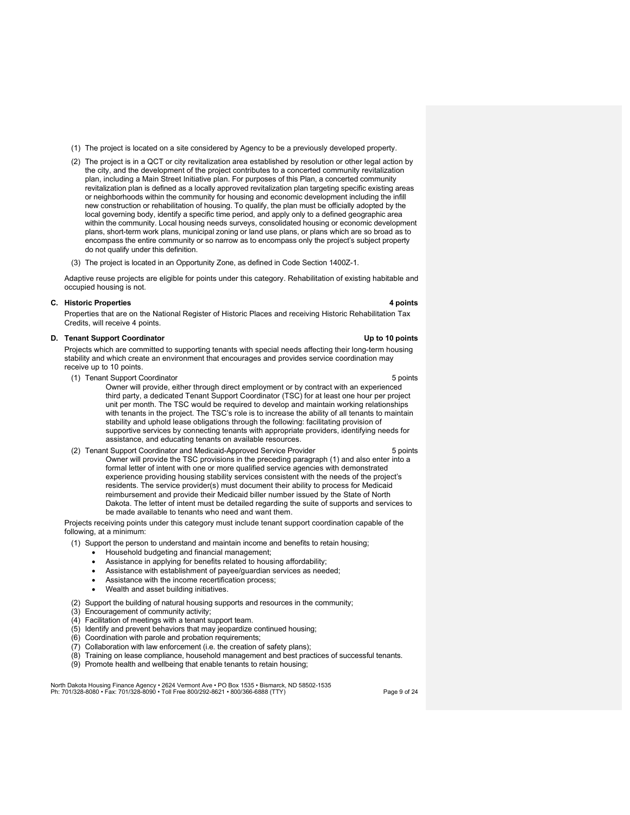- (1) The project is located on a site considered by Agency to be a previously developed property.
- (2) The project is in a QCT or city revitalization area established by resolution or other legal action by the city, and the development of the project contributes to a concerted community revitalization plan, including a Main Street Initiative plan. For purposes of this Plan, a concerted community revitalization plan is defined as a locally approved revitalization plan targeting specific existing areas or neighborhoods within the community for housing and economic development including the infill new construction or rehabilitation of housing. To qualify, the plan must be officially adopted by the local governing body, identify a specific time period, and apply only to a defined geographic area within the community. Local housing needs surveys, consolidated housing or economic development plans, short-term work plans, municipal zoning or land use plans, or plans which are so broad as to encompass the entire community or so narrow as to encompass only the project's subject property do not qualify under this definition.
- (3) The project is located in an Opportunity Zone, as defined in Code Section 1400Z-1.

Adaptive reuse projects are eligible for points under this category. Rehabilitation of existing habitable and occupied housing is not.

## **C. Historic Properties 4 points**

Properties that are on the National Register of Historic Places and receiving Historic Rehabilitation Tax Credits, will receive 4 points.

## **D. Tenant Support Coordinator Community Community Community Community Community Community Community Community Community Community Community Community Community Community Community Community Community Community Community C**

Projects which are committed to supporting tenants with special needs affecting their long-term housing stability and which create an environment that encourages and provides service coordination may receive up to 10 points.

- (1) Tenant Support Coordinator 6 points and the set of the set of the set of the set of the set of the set of the set of the set of the set of the set of the set of the set of the set of the set of the set of the set of th
	-
	- Owner will provide, either through direct employment or by contract with an experienced third party, a dedicated Tenant Support Coordinator (TSC) for at least one hour per project unit per month. The TSC would be required to develop and maintain working relationships with tenants in the project. The TSC's role is to increase the ability of all tenants to maintain stability and uphold lease obligations through the following: facilitating provision of supportive services by connecting tenants with appropriate providers, identifying needs for assistance, and educating tenants on available resources.
- (2) Tenant Support Coordinator and Medicaid-Approved Service Provider 5 points 5 points Owner will provide the TSC provisions in the preceding paragraph (1) and also enter into a formal letter of intent with one or more qualified service agencies with demonstrated experience providing housing stability services consistent with the needs of the project's residents. The service provider(s) must document their ability to process for Medicaid reimbursement and provide their Medicaid biller number issued by the State of North Dakota. The letter of intent must be detailed regarding the suite of supports and services to be made available to tenants who need and want them.

Projects receiving points under this category must include tenant support coordination capable of the following, at a minimum:

- (1) Support the person to understand and maintain income and benefits to retain housing;
	- Household budgeting and financial management;
	- Assistance in applying for benefits related to housing affordability;
	- Assistance with establishment of payee/guardian services as needed;
	- Assistance with the income recertification process;
	- Wealth and asset building initiatives.
- (2) Support the building of natural housing supports and resources in the community;
- (3) Encouragement of community activity;
- (4) Facilitation of meetings with a tenant support team.
- (5) Identify and prevent behaviors that may jeopardize continued housing;
- (6) Coordination with parole and probation requirements;
- (7) Collaboration with law enforcement (i.e. the creation of safety plans);
- (8) Training on lease compliance, household management and best practices of successful tenants.
- (9) Promote health and wellbeing that enable tenants to retain housing;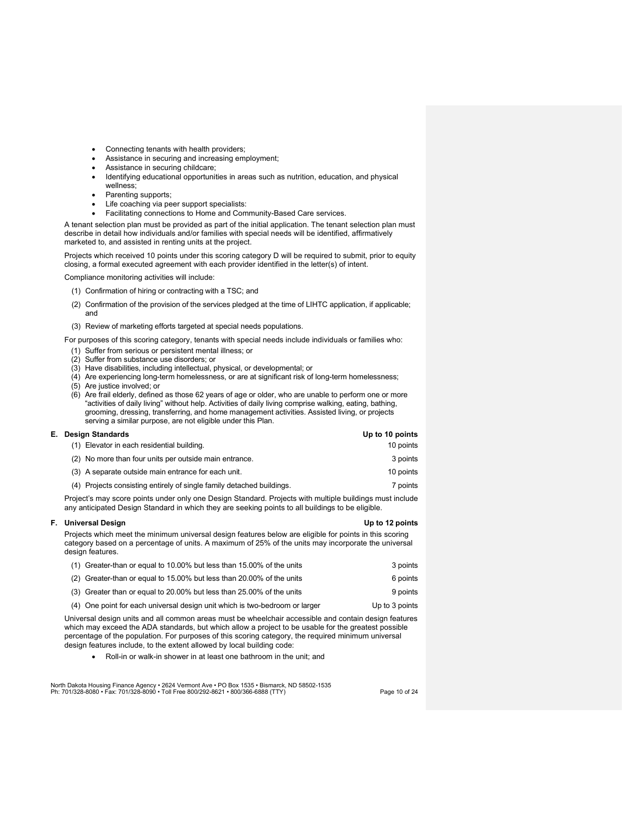- Connecting tenants with health providers;
- Assistance in securing and increasing employment;
- Assistance in securing childcare;
- Identifying educational opportunities in areas such as nutrition, education, and physical wellness;
- Parenting supports;
- Life coaching via peer support specialists:
- Facilitating connections to Home and Community-Based Care services.

A tenant selection plan must be provided as part of the initial application. The tenant selection plan must describe in detail how individuals and/or families with special needs will be identified, affirmatively marketed to, and assisted in renting units at the project.

Projects which received 10 points under this scoring category D will be required to submit, prior to equity closing, a formal executed agreement with each provider identified in the letter(s) of intent.

Compliance monitoring activities will include:

- (1) Confirmation of hiring or contracting with a TSC; and
- (2) Confirmation of the provision of the services pledged at the time of LIHTC application, if applicable; and
- (3) Review of marketing efforts targeted at special needs populations.

For purposes of this scoring category, tenants with special needs include individuals or families who:

- (1) Suffer from serious or persistent mental illness; or
- (2) Suffer from substance use disorders; or
- (3) Have disabilities, including intellectual, physical, or developmental; or
- (4) Are experiencing long-term homelessness, or are at significant risk of long-term homelessness;
- (5) Are justice involved; or
- (6) Are frail elderly, defined as those 62 years of age or older, who are unable to perform one or more "activities of daily living" without help. Activities of daily living comprise walking, eating, bathing, grooming, dressing, transferring, and home management activities. Assisted living, or projects serving a similar purpose, are not eligible under this Plan.

# **E. Design Standards Up to 10 points**

| (1) Elevator in each residential building.                            | 10 points |
|-----------------------------------------------------------------------|-----------|
| (2) No more than four units per outside main entrance.                | 3 points  |
| (3) A separate outside main entrance for each unit.                   | 10 points |
| (4) Projects consisting entirely of single family detached buildings. | 7 points  |
|                                                                       |           |

Project's may score points under only one Design Standard. Projects with multiple buildings must include any anticipated Design Standard in which they are seeking points to all buildings to be eligible.

## **F. Universal Design Contract Design Contract Design Contract Design Contract Design Contract Design Contract Design Contract Design Contract Design Contract Design Contract Design Contract Design Contract Design Contract**

Projects which meet the minimum universal design features below are eligible for points in this scoring category based on a percentage of units. A maximum of 25% of the units may incorporate the universal design features.

| (1) Greater-than or equal to 10.00% but less than 15.00% of the units       | 3 points       |
|-----------------------------------------------------------------------------|----------------|
| (2) Greater-than or equal to 15.00% but less than 20.00% of the units       | 6 points       |
| (3) Greater than or equal to 20.00% but less than 25.00% of the units       | 9 points       |
| (4) One point for each universal design unit which is two-bedroom or larger | Up to 3 points |

Universal design units and all common areas must be wheelchair accessible and contain design features which may exceed the ADA standards, but which allow a project to be usable for the greatest possible percentage of the population. For purposes of this scoring category, the required minimum universal design features include, to the extent allowed by local building code:

Roll-in or walk-in shower in at least one bathroom in the unit; and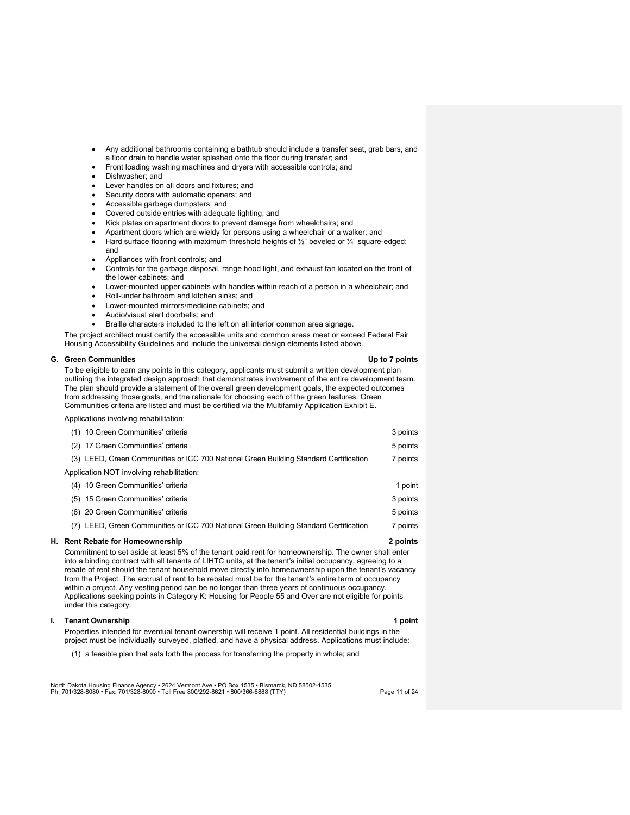- Any additional bathrooms containing a bathtub should include a transfer seat, grab bars, and a floor drain to handle water splashed onto the floor during transfer; and
- Front loading washing machines and dryers with accessible controls; and
- Dishwasher; and
- Lever handles on all doors and fixtures; and
- Security doors with automatic openers; and
- Accessible garbage dumpsters; and
- Covered outside entries with adequate lighting; and
- Kick plates on apartment doors to prevent damage from wheelchairs; and
- Apartment doors which are wieldy for persons using a wheelchair or a walker; and
- Hard surface flooring with maximum threshold heights of  $\frac{1}{2}$ " beveled or  $\frac{1}{4}$ " square-edged; and
- Appliances with front controls; and
- Controls for the garbage disposal, range hood light, and exhaust fan located on the front of the lower cabinets; and
- Lower-mounted upper cabinets with handles within reach of a person in a wheelchair; and
- Roll-under bathroom and kitchen sinks; and
- Lower-mounted mirrors/medicine cabinets; and
- Audio/visual alert doorbells; and
- Braille characters included to the left on all interior common area signage.

The project architect must certify the accessible units and common areas meet or exceed Federal Fair Housing Accessibility Guidelines and include the universal design elements listed above.

#### **G. Green Communities Up to 7 points**

To be eligible to earn any points in this category, applicants must submit a written development plan outlining the integrated design approach that demonstrates involvement of the entire development team. The plan should provide a statement of the overall green development goals, the expected outcomes from addressing those goals, and the rationale for choosing each of the green features. Green Communities criteria are listed and must be certified via the Multifamily Application Exhibit E.

Applications involving rehabilitation:

| <b>H</b> Rent Rebate for Homeownership                                                | 2 noints |
|---------------------------------------------------------------------------------------|----------|
| (7) LEED, Green Communities or ICC 700 National Green Building Standard Certification | 7 points |
| (6) 20 Green Communities' criteria                                                    | 5 points |
| (5) 15 Green Communities' criteria                                                    | 3 points |
| (4) 10 Green Communities' criteria                                                    | 1 point  |
| Application NOT involving rehabilitation:                                             |          |
| (3) LEED, Green Communities or ICC 700 National Green Building Standard Certification | 7 points |
| (2) 17 Green Communities' criteria                                                    | 5 points |
| 10 Green Communities' criteria                                                        | 3 points |

Commitment to set aside at least 5% of the tenant paid rent for homeownership. The owner shall enter into a binding contract with all tenants of LIHTC units, at the tenant's initial occupancy, agreeing to a rebate of rent should the tenant household move directly into homeownership upon the tenant's vacancy from the Project. The accrual of rent to be rebated must be for the tenant's entire term of occupancy within a project. Any vesting period can be no longer than three years of continuous occupancy. Applications seeking points in Category K: Housing for People 55 and Over are not eligible for points under this category.

# **I.** Tenant Ownership **1** point **1** point **1** point

Properties intended for eventual tenant ownership will receive 1 point. All residential buildings in the project must be individually surveyed, platted, and have a physical address. Applications must include:

(1) a feasible plan that sets forth the process for transferring the property in whole; and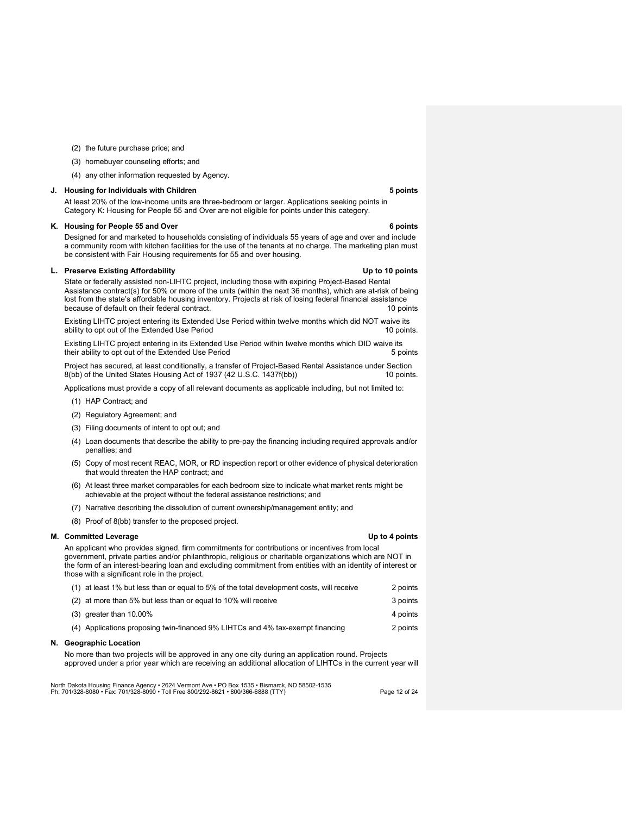- (2) the future purchase price; and
- (3) homebuyer counseling efforts; and
- (4) any other information requested by Agency.

#### **J. Housing for Individuals with Children 6 and 1997 and 1997 and 1997 and 1997 and 1997 and 1998 and 1998 and 199**

At least 20% of the low-income units are three-bedroom or larger. Applications seeking points in Category K: Housing for People 55 and Over are not eligible for points under this category.

#### **K.** Housing for People 55 and Over 6 points and  $\overline{a}$  **6 points**

Designed for and marketed to households consisting of individuals 55 years of age and over and include a community room with kitchen facilities for the use of the tenants at no charge. The marketing plan must be consistent with Fair Housing requirements for 55 and over housing.

## **L. Preserve Existing Affordability Up to 10 points**

State or federally assisted non-LIHTC project, including those with expiring Project-Based Rental Assistance contract(s) for 50% or more of the units (within the next 36 months), which are at-risk of being lost from the state's affordable housing inventory. Projects at risk of losing federal financial assistance because of default on their federal contract. **10** points 10 points

Existing LIHTC project entering its Extended Use Period within twelve months which did NOT waive its ability to opt out of the Extended Use Period 10 points. 10 points.

Existing LIHTC project entering in its Extended Use Period within twelve months which DID waive its their ability to opt out of the Extended Use Period 5 points 5 points

Project has secured, at least conditionally, a transfer of Project-Based Rental Assistance under Section 8(bb) of the United States Housing Act of 1937 (42 U.S.C. 1437f(bb)) 10 points.

Applications must provide a copy of all relevant documents as applicable including, but not limited to:

- (1) HAP Contract; and
- (2) Regulatory Agreement; and
- (3) Filing documents of intent to opt out; and
- (4) Loan documents that describe the ability to pre-pay the financing including required approvals and/or penalties; and
- (5) Copy of most recent REAC, MOR, or RD inspection report or other evidence of physical deterioration that would threaten the HAP contract; and
- (6) At least three market comparables for each bedroom size to indicate what market rents might be achievable at the project without the federal assistance restrictions; and
- (7) Narrative describing the dissolution of current ownership/management entity; and
- (8) Proof of 8(bb) transfer to the proposed project.

#### **M. Committed Leverage Committed Leverage Committed Leverage Committed Leverage Committed Leverage Committed Leverage Committed Application Committed Leverage Committed Application Committed Application Committed Applicati**

An applicant who provides signed, firm commitments for contributions or incentives from local government, private parties and/or philanthropic, religious or charitable organizations which are NOT in the form of an interest-bearing loan and excluding commitment from entities with an identity of interest or those with a significant role in the project.

| (1) at least 1% but less than or equal to 5% of the total development costs, will receive | 2 points |
|-------------------------------------------------------------------------------------------|----------|
| (2) at more than 5% but less than or equal to 10% will receive                            | 3 points |
| $(3)$ greater than 10.00%                                                                 | 4 points |
| (4) Applications proposing twin-financed 9% LIHTCs and 4% tax-exempt financing            | 2 points |

# **N. Geographic Location**

No more than two projects will be approved in any one city during an application round. Projects approved under a prior year which are receiving an additional allocation of LIHTCs in the current year will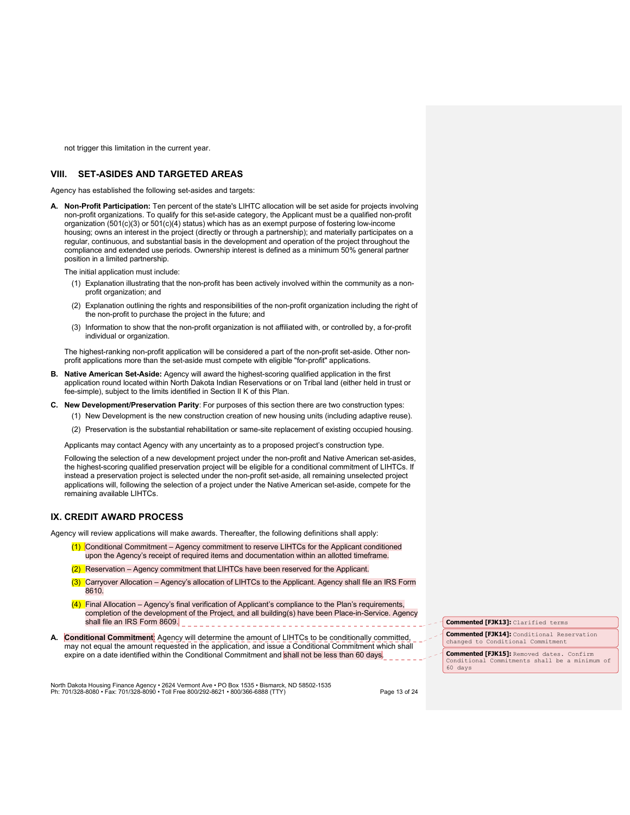not trigger this limitation in the current year.

# **VIII. SET-ASIDES AND TARGETED AREAS**

Agency has established the following set-asides and targets:

**A. Non-Profit Participation:** Ten percent of the state's LIHTC allocation will be set aside for projects involving non-profit organizations. To qualify for this set-aside category, the Applicant must be a qualified non-profit organization (501(c)(3) or 501(c)(4) status) which has as an exempt purpose of fostering low-income housing; owns an interest in the project (directly or through a partnership); and materially participates on a regular, continuous, and substantial basis in the development and operation of the project throughout the compliance and extended use periods. Ownership interest is defined as a minimum 50% general partner position in a limited partnership.

The initial application must include:

- (1) Explanation illustrating that the non-profit has been actively involved within the community as a nonprofit organization; and
- (2) Explanation outlining the rights and responsibilities of the non-profit organization including the right of the non-profit to purchase the project in the future; and
- (3) Information to show that the non-profit organization is not affiliated with, or controlled by, a for-profit individual or organization.

The highest-ranking non-profit application will be considered a part of the non-profit set-aside. Other nonprofit applications more than the set-aside must compete with eligible "for-profit" applications.

- **B. Native American Set-Aside:** Agency will award the highest-scoring qualified application in the first application round located within North Dakota Indian Reservations or on Tribal land (either held in trust or fee-simple), subject to the limits identified in Section II K of this Plan.
- **C. New Development/Preservation Parity**: For purposes of this section there are two construction types:
	- (1) New Development is the new construction creation of new housing units (including adaptive reuse).
	- (2) Preservation is the substantial rehabilitation or same-site replacement of existing occupied housing.

Applicants may contact Agency with any uncertainty as to a proposed project's construction type.

Following the selection of a new development project under the non-profit and Native American set-asides, the highest-scoring qualified preservation project will be eligible for a conditional commitment of LIHTCs. If instead a preservation project is selected under the non-profit set-aside, all remaining unselected project applications will, following the selection of a project under the Native American set-aside, compete for the remaining available LIHTCs.

# **IX. CREDIT AWARD PROCESS**

Agency will review applications will make awards. Thereafter, the following definitions shall apply:

- (1) Conditional Commitment Agency commitment to reserve LIHTCs for the Applicant conditioned upon the Agency's receipt of required items and documentation within an allotted timeframe.
- $(2)$  Reservation Agency commitment that LIHTCs have been reserved for the Applicant.
- (3) Carryover Allocation Agency's allocation of LIHTCs to the Applicant. Agency shall file an IRS Form 8610.
- (4) Final Allocation Agency's final verification of Applicant's compliance to the Plan's requirements, completion of the development of the Project, and all building(s) have been Place-in-Service. Agency shall file an IRS Form 8609.
- **A. Conditional Commitment**: Agency will determine the amount of LIHTCs to be conditionally committed, may not equal the amount requested in the application, and issue a Conditional Commitment which shall expire on a date identified within the Conditional Commitment and shall not be less than 60 days.

**Commented [FJK13]:** Clarified terms

**Commented [FJK14]:** Conditional Reservation changed to Conditional Commitment

**Commented [FJK15]:** Removed dates. Confirm Conditional Commitments shall be a minimum of 60 days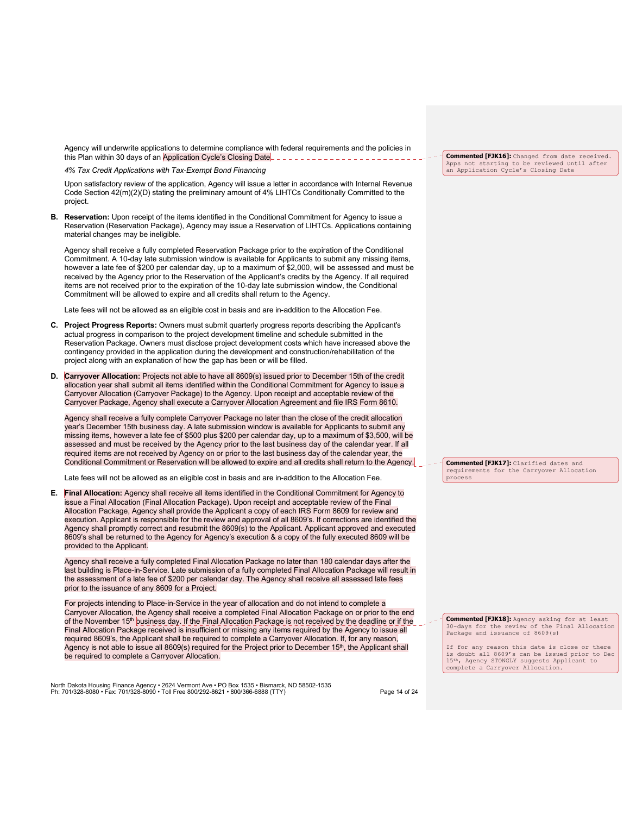Agency will underwrite applications to determine compliance with federal requirements and the policies in this Plan within 30 days of an Application Cycle's Closing Date. **Lation Lation 2016** 

*4% Tax Credit Applications with Tax-Exempt Bond Financing*

Upon satisfactory review of the application, Agency will issue a letter in accordance with Internal Revenue Code Section 42(m)(2)(D) stating the preliminary amount of 4% LIHTCs Conditionally Committed to the project.

**B. Reservation:** Upon receipt of the items identified in the Conditional Commitment for Agency to issue a Reservation (Reservation Package), Agency may issue a Reservation of LIHTCs. Applications containing material changes may be ineligible.

Agency shall receive a fully completed Reservation Package prior to the expiration of the Conditional Commitment. A 10-day late submission window is available for Applicants to submit any missing items, however a late fee of \$200 per calendar day, up to a maximum of \$2,000, will be assessed and must be received by the Agency prior to the Reservation of the Applicant's credits by the Agency. If all required items are not received prior to the expiration of the 10-day late submission window, the Conditional Commitment will be allowed to expire and all credits shall return to the Agency.

Late fees will not be allowed as an eligible cost in basis and are in-addition to the Allocation Fee.

- **C. Project Progress Reports:** Owners must submit quarterly progress reports describing the Applicant's actual progress in comparison to the project development timeline and schedule submitted in the Reservation Package. Owners must disclose project development costs which have increased above the contingency provided in the application during the development and construction/rehabilitation of the project along with an explanation of how the gap has been or will be filled.
- **D. Carryover Allocation:** Projects not able to have all 8609(s) issued prior to December 15th of the credit allocation year shall submit all items identified within the Conditional Commitment for Agency to issue a Carryover Allocation (Carryover Package) to the Agency. Upon receipt and acceptable review of the Carryover Package, Agency shall execute a Carryover Allocation Agreement and file IRS Form 8610.

Agency shall receive a fully complete Carryover Package no later than the close of the credit allocation year's December 15th business day. A late submission window is available for Applicants to submit any missing items, however a late fee of \$500 plus \$200 per calendar day, up to a maximum of \$3,500, will be assessed and must be received by the Agency prior to the last business day of the calendar year. If all required items are not received by Agency on or prior to the last business day of the calendar year, the Conditional Commitment or Reservation will be allowed to expire and all credits shall return to the Agency.

Late fees will not be allowed as an eligible cost in basis and are in-addition to the Allocation Fee.

**E. Final Allocation:** Agency shall receive all items identified in the Conditional Commitment for Agency to issue a Final Allocation (Final Allocation Package). Upon receipt and acceptable review of the Final Allocation Package, Agency shall provide the Applicant a copy of each IRS Form 8609 for review and execution. Applicant is responsible for the review and approval of all 8609's. If corrections are identified the Agency shall promptly correct and resubmit the 8609(s) to the Applicant. Applicant approved and executed 8609's shall be returned to the Agency for Agency's execution & a copy of the fully executed 8609 will be provided to the Applicant.

Agency shall receive a fully completed Final Allocation Package no later than 180 calendar days after the last building is Place-in-Service. Late submission of a fully completed Final Allocation Package will result in the assessment of a late fee of \$200 per calendar day. The Agency shall receive all assessed late fees prior to the issuance of any 8609 for a Project.

For projects intending to Place-in-Service in the year of allocation and do not intend to complete a Carryover Allocation, the Agency shall receive a completed Final Allocation Package on or prior to the end of the November 15<sup>th</sup> business day. If the Final Allocation Package is not received by the deadline or if the Final Allocation Package received is insufficient or missing any items required by the Agency to issue all required 8609's, the Applicant shall be required to complete a Carryover Allocation. If, for any reason, Agency is not able to issue all 8609(s) required for the Project prior to December 15<sup>th</sup>, the Applicant shall be required to complete a Carryover Allocation.

North Dakota Housing Finance Agency • 2624 Vermont Ave • PO Box 1535 • Bismarck, ND 58502-1535<br>Ph: 701/328-8080 • Fax: 701/328-8090 • Toll Free 800/292-8621 • 800/366-6888 (TTY)

**Commented [FJK16]:** Changed from date received. Apps not starting to be reviewed until after an Application Cycle's Closing Date

**Commented [FJK17]:** Clarified dates and requirements for the Carryover Allocation process

**Commented [FJK18]:** Agency asking for at least 30-days for the review of the Final Allocation Package and issuance of 8609(s)

If for any reason this date is close or there is doubt all 8609's can be issued prior to Dec 15th, Agency STONGLY suggests Applicant to complete a Carryover Allocation.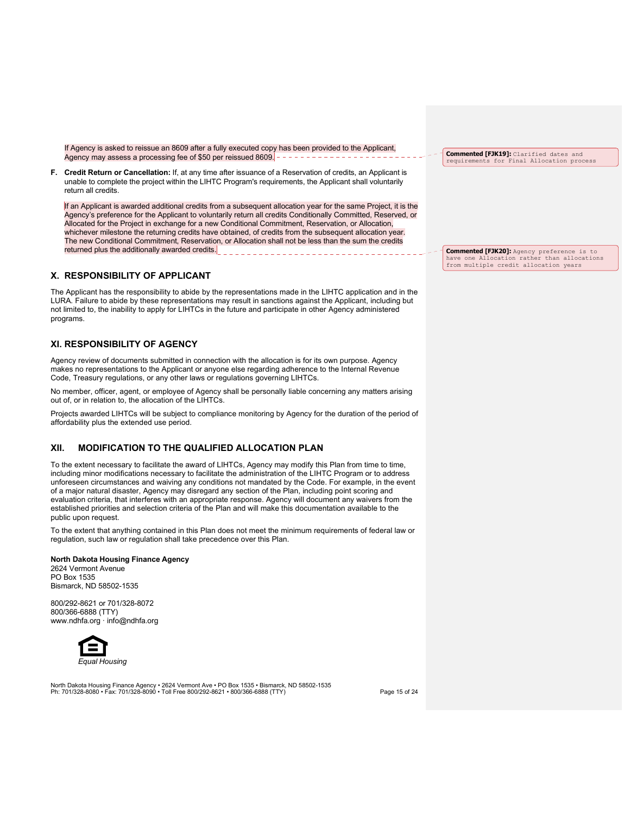If Agency is asked to reissue an 8609 after a fully executed copy has been provided to the Applicant, Agency may assess a processing fee of \$50 per reissued 8609.

**F. Credit Return or Cancellation:** If, at any time after issuance of a Reservation of credits, an Applicant is unable to complete the project within the LIHTC Program's requirements, the Applicant shall voluntarily return all credits.

If an Applicant is awarded additional credits from a subsequent allocation year for the same Project, it is the Agency's preference for the Applicant to voluntarily return all credits Conditionally Committed, Reserved, or Allocated for the Project in exchange for a new Conditional Commitment, Reservation, or Allocation, whichever milestone the returning credits have obtained, of credits from the subsequent allocation year. The new Conditional Commitment, Reservation, or Allocation shall not be less than the sum the credits returned plus the additionally awarded credits.

# **X. RESPONSIBILITY OF APPLICANT**

The Applicant has the responsibility to abide by the representations made in the LIHTC application and in the LURA. Failure to abide by these representations may result in sanctions against the Applicant, including but not limited to, the inability to apply for LIHTCs in the future and participate in other Agency administered programs.

# **XI. RESPONSIBILITY OF AGENCY**

Agency review of documents submitted in connection with the allocation is for its own purpose. Agency makes no representations to the Applicant or anyone else regarding adherence to the Internal Revenue Code, Treasury regulations, or any other laws or regulations governing LIHTCs.

No member, officer, agent, or employee of Agency shall be personally liable concerning any matters arising out of, or in relation to, the allocation of the LIHTCs.

Projects awarded LIHTCs will be subject to compliance monitoring by Agency for the duration of the period of affordability plus the extended use period.

# **XII. MODIFICATION TO THE QUALIFIED ALLOCATION PLAN**

To the extent necessary to facilitate the award of LIHTCs, Agency may modify this Plan from time to time, including minor modifications necessary to facilitate the administration of the LIHTC Program or to address unforeseen circumstances and waiving any conditions not mandated by the Code. For example, in the event of a major natural disaster, Agency may disregard any section of the Plan, including point scoring and evaluation criteria, that interferes with an appropriate response. Agency will document any waivers from the established priorities and selection criteria of the Plan and will make this documentation available to the public upon request.

To the extent that anything contained in this Plan does not meet the minimum requirements of federal law or regulation, such law or regulation shall take precedence over this Plan.

# **North Dakota Housing Finance Agency**

2624 Vermont Avenue PO Box 1535 Bismarck, ND 58502-1535

800/292-8621 or 701/328-8072 800/366-6888 (TTY) www.ndhfa.org · info@ndhfa.org



North Dakota Housing Finance Agency • 2624 Vermont Ave • PO Box 1535 • Bismarck, ND 58502-1535<br>Ph: 701/328-8080 • Fax: 701/328-8090 • Toll Free 800/292-8621 • 800/366-6888 (TTY)

**Commented [FJK19]:** Clarified dates and requirements for Final Allocation process

**Commented [FJK20]:** Agency preference is to have one Allocation rather than allocations from multiple credit allocation years